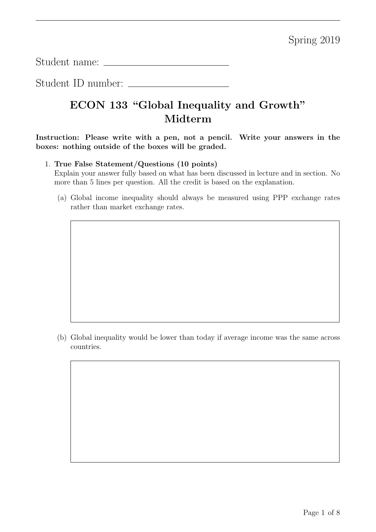Student name:

Student ID number:

## ECON 133 "Global Inequality and Growth" Midterm

Instruction: Please write with a pen, not a pencil. Write your answers in the boxes: nothing outside of the boxes will be graded.

## 1. True False Statement/Questions (10 points)

Explain your answer fully based on what has been discussed in lecture and in section. No more than 5 lines per question. All the credit is based on the explanation.

(a) Global income inequality should always be measured using PPP exchange rates rather than market exchange rates.

(b) Global inequality would be lower than today if average income was the same across countries.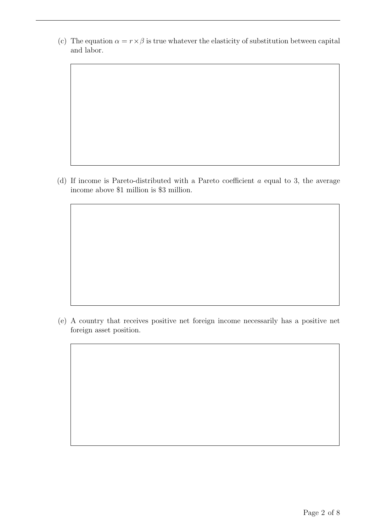(c) The equation  $\alpha = r \times \beta$  is true whatever the elasticity of substitution between capital and labor.

(d) If income is Pareto-distributed with a Pareto coefficient  $a$  equal to 3, the average income above \$1 million is \$3 million.

(e) A country that receives positive net foreign income necessarily has a positive net foreign asset position.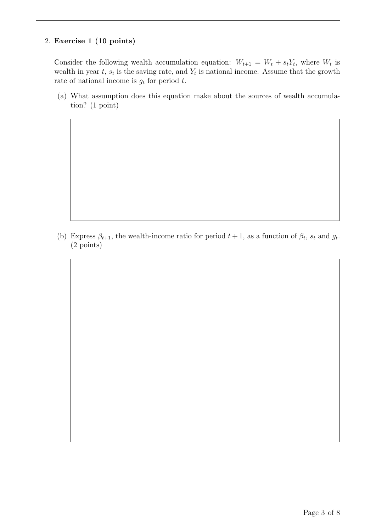## 2. Exercise 1 (10 points)

Consider the following wealth accumulation equation:  $W_{t+1} = W_t + s_t Y_t$ , where  $W_t$  is wealth in year t,  $s_t$  is the saving rate, and  $Y_t$  is national income. Assume that the growth rate of national income is  $g_t$  for period t.

(a) What assumption does this equation make about the sources of wealth accumulation? (1 point)

(b) Express  $\beta_{t+1}$ , the wealth-income ratio for period  $t+1$ , as a function of  $\beta_t$ ,  $s_t$  and  $g_t$ . (2 points)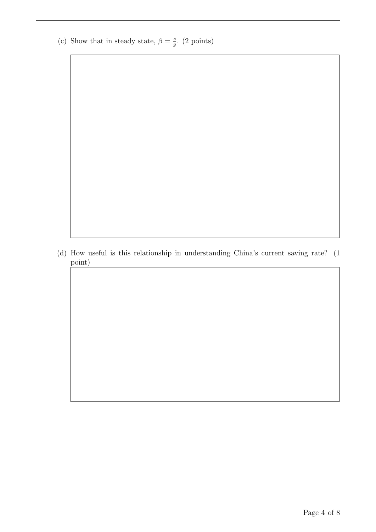(c) Show that in steady state,  $\beta = \frac{s}{a}$  $\frac{s}{g}$ . (2 points)

(d) How useful is this relationship in understanding China's current saving rate? (1 point)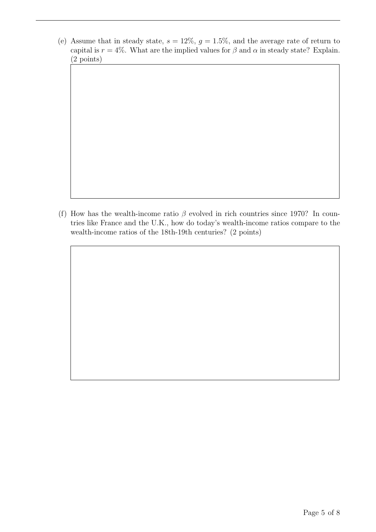(e) Assume that in steady state,  $s = 12\%$ ,  $g = 1.5\%$ , and the average rate of return to capital is  $r = 4\%$ . What are the implied values for  $\beta$  and  $\alpha$  in steady state? Explain. (2 points)

(f) How has the wealth-income ratio  $\beta$  evolved in rich countries since 1970? In countries like France and the U.K., how do today's wealth-income ratios compare to the wealth-income ratios of the 18th-19th centuries? (2 points)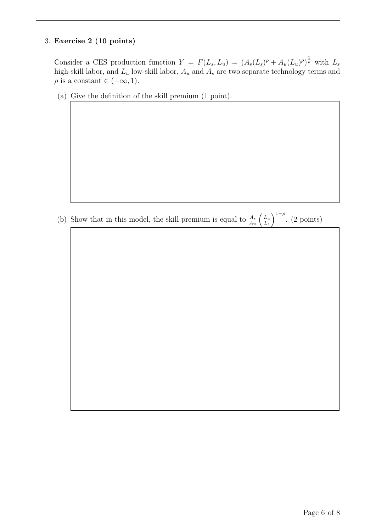## 3. Exercise 2 (10 points)

Consider a CES production function  $Y = F(L_s, L_u) = (A_s(L_s)^{\rho} + A_u(L_u)^{\rho})^{\frac{1}{\rho}}$  with  $L_s$ high-skill labor, and  $L_u$  low-skill labor,  $A_u$  and  $A_s$  are two separate technology terms and  $\rho$  is a constant  $\in (-\infty, 1)$ .

(a) Give the definition of the skill premium (1 point).

(b) Show that in this model, the skill premium is equal to  $\frac{A_s}{A_u}$  $\int$   $\frac{L_u}{2}$  $L_s$  $\int_{1-\rho}^{1-\rho}$ . (2 points)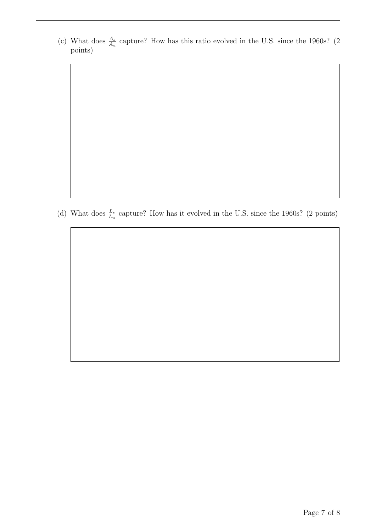(c) What does  $\frac{A_s}{A_u}$  capture? How has this ratio evolved in the U.S. since the 1960s? (2) points)

(d) What does  $\frac{L_s}{L_u}$  capture? How has it evolved in the U.S. since the 1960s? (2 points)